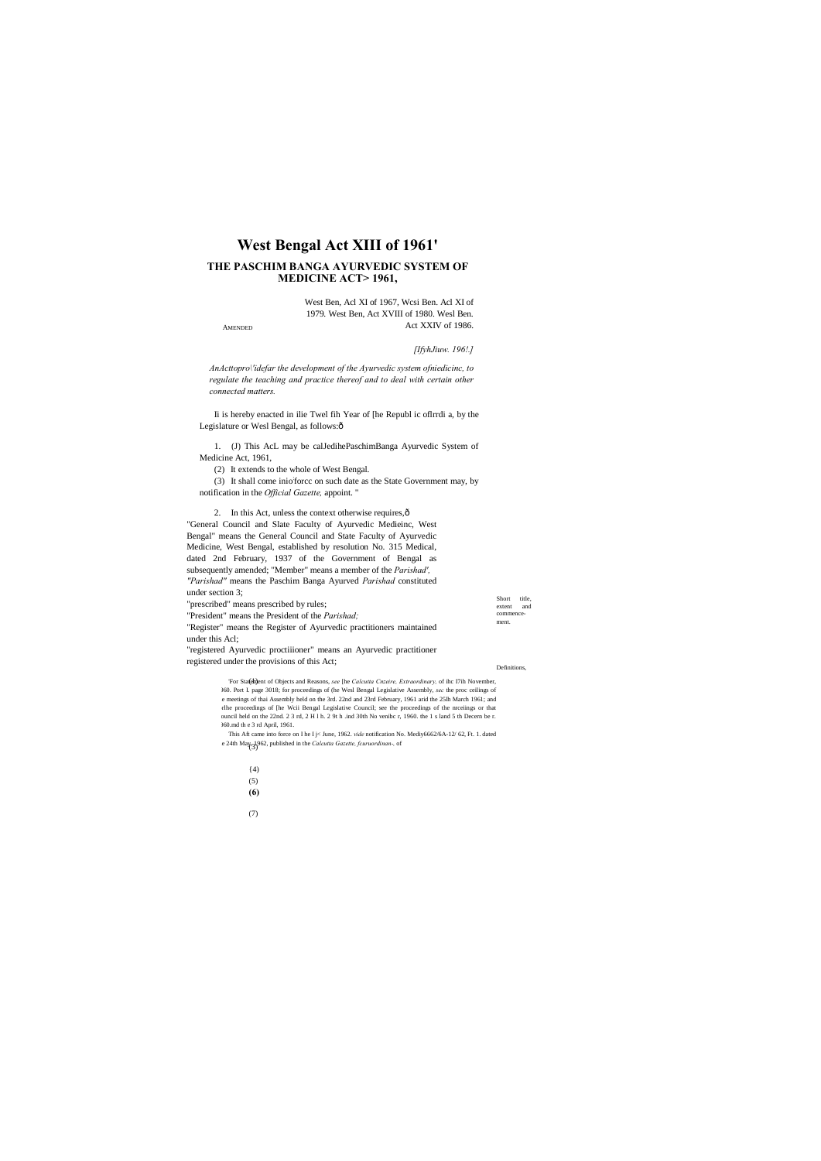# West Bengal Act XIII of 1961'

## THE PASCHIM BANGA AYURVEDIC SYSTEM OF **MEDICINE ACT>1961,**

West Ben, Acl XI of 1967, Wcsi Ben. Acl XI of 1979. West Ben, Act XVIII of 1980. Wesl Ben. Act XXIV of 1986.

**AMENDED** 

[IfyhJiuw. 196!.]

AnActtopro\'idefar the development of the Ayurvedic system ofniedicinc, to regulate the teaching and practice thereof and to deal with certain other connected matters.

Ii is hereby enacted in ilie Twel fih Year of [he Republ ic oflrrdi a, by the Legislature or Wesl Bengal, as follows:ô

1. (J) This AcL may be calJedihePaschimBanga Ayurvedic System of Medicine Act, 1961,

(2) It extends to the whole of West Bengal.

(3) It shall come injofforce on such date as the State Government may, by notification in the Official Gazette, appoint."

2. In this Act, unless the context otherwise requires, ô

"General Council and Slate Faculty of Ayurvedic Medieinc, West Bengal" means the General Council and State Faculty of Ayurvedic Medicine, West Bengal, established by resolution No. 315 Medical, dated 2nd February, 1937 of the Government of Bengal as subsequently amended; "Member" means a member of the Parishad', "Parishad" means the Paschim Banga Ayurved Parishad constituted under section 3;

Short title, "prescribed" means prescribed by rules; extent and commence-"President" means the President of the Parishad; ment. "Register" means the Register of Ayurvedic practitioners maintained under this Acl; "registered Ayurvedic proctiiioner" means an Ayurvedic practitioner registered under the provisions of this Act;

Definitions

For Statenhent of Objects and Reasons, see [he Calcutta Cnzeire, Extraordinary, of ihc I7ih November, 360. Port I. page 3018; for proceedings of (he Wesl Bengal Legislative Assembly, sec the proc ceilings of e meetings of thai Assembly held on the 3rd. 22nd and 23rd February, 1961 arid the 25lh March 1961; and rlhe proceedings of [he Wcii Bengal Legislative Council; see the proceedings of the nrceiings or that ouncil held on the 22nd. 2 3 rd, 2 H l h. 2 9t h .ind 30th No venibe r, 1960. the 1 s land 5 th Decern be r. 1961. How the 3 rd April, 1961.

This Aft came into force on I he I j< June, 1962. vide notification No. Mediy6662/6A-12/62, Ft. 1. dated e 24th May  $3$  (3)  $62$ , published in the *Calcutta Gazette, fcuruordinan-*, of

- $(4)$
- $(5)$
- $(6)$
- $(7)$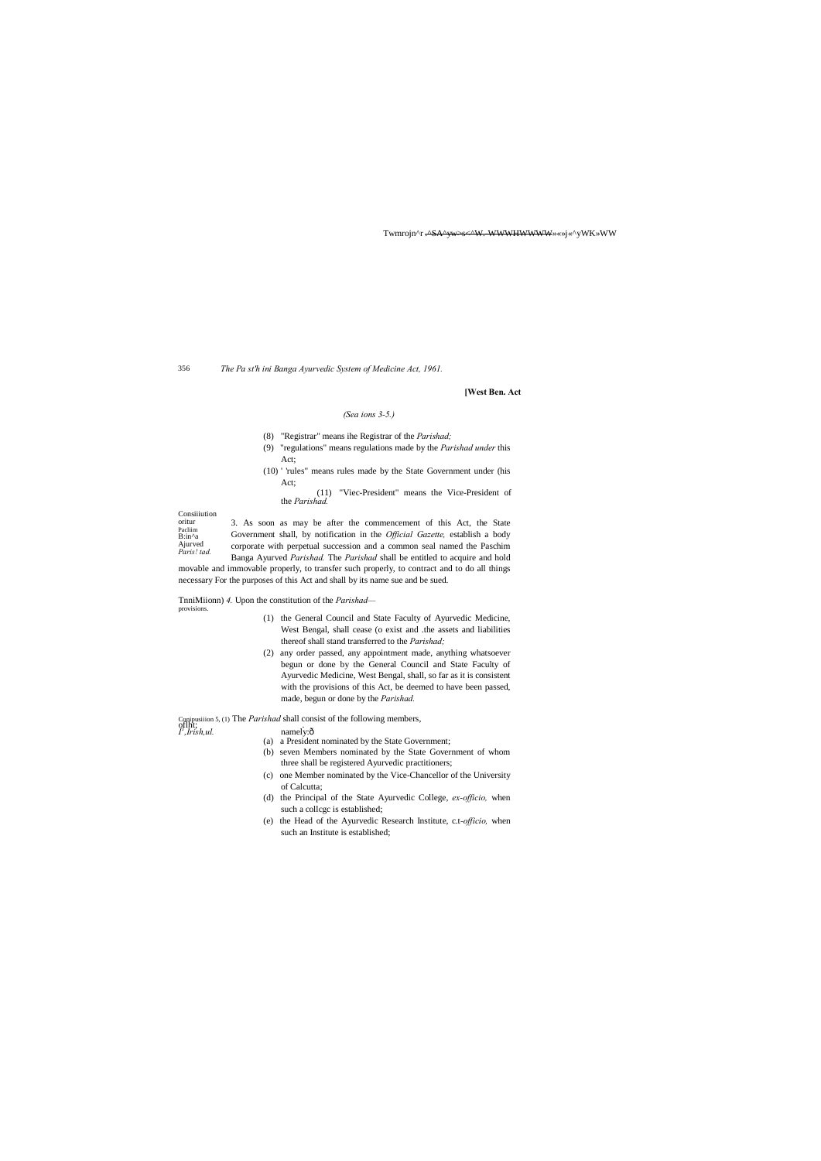**Consiiiution** oritur Pacliim B:in^a Ajurved *Paris! tad.*

Twmrojn^r .^SA^yw>s<^W.-WWWHWWWWW<sub></sub>»«»j«^yWK»WW

356 *The Pa st'h ini Banga Ayurvedic System of Medicine Act, 1961.*

**[West Ben. Act**

## *(Sea ions 3-5.)*

(8) "Registrar" means ihe Registrar of the *Parishad;*

- (9) "regulations" means regulations made by the *Parishad under* this Act;
- (10) ' 'rules" means rules made by the State Government under (his Act;
	- "Viec-President" means the Vice-President of the *Parishad.*

3. As soon as may be after the commencement of this Act, the State Government shall, by notification in the *Official Gazette,* establish a body corporate with perpetual succession and a common seal named the Paschim Banga Ayurved *Parishad.* The *Parishad* shall be entitled to acquire and hold

movable and immovable properly, to transfer such properly, to contract and to do all things necessary For the purposes of this Act and shall by its name sue and be sued.

TnniMiionn) *4.* Upon the constitution of the *Parishad* provisions.

- (1) the General Council and State Faculty of Ayurvedic Medicine, West Bengal, shall cease (o exist and .the assets and liabilities thereof shall stand transferred to the *Parishad;*
- (2) any order passed, any appointment made, anything whatsoever begun or done by the General Council and State Faculty of Ayurvedic Medicine, West Bengal, shall, so far as it is consistent with the provisions of this Act, be deemed to have been passed, made, begun or done by the *Parishad.*

Conipusiiion 5, (1) The *Parishad* shall consist of the following members, of that is the *I n* amely: ô

- (a) a President nominated by the State Government;
- (b) seven Members nominated by the State Government of whom three shall be registered Ayurvedic practitioners;
- (c) one Member nominated by the Vice-Chancellor of the University of Calcutta;
- (d) the Principal of the State Ayurvedic College, *ex-officio,* when such a collcgc is established;
- (e) the Head of the Ayurvedic Research Institute, c.t*-officio,* when such an Institute is established;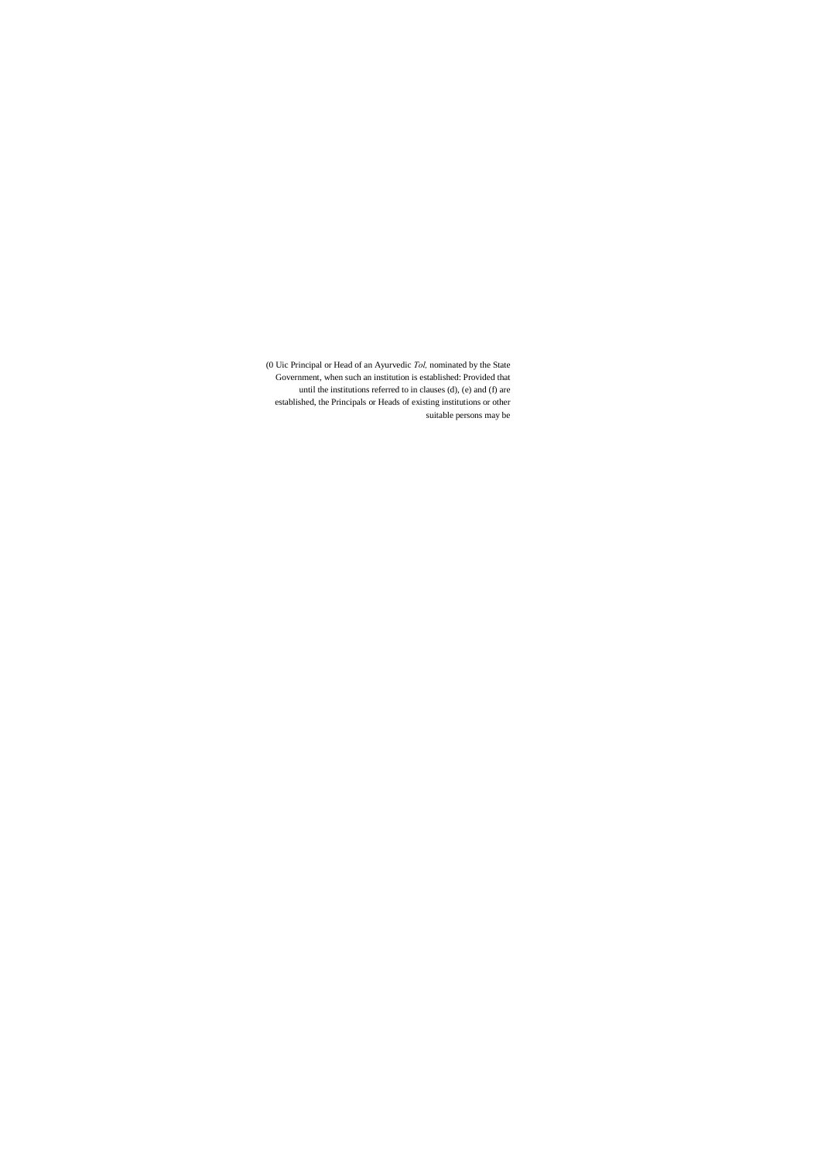(0 Uic Principal or Head of an Ayurvedic *Tol,* nominated by the State Government, when such an institution is established: Provided that until the institutions referred to in clauses (d), (e) and (f) are established, the Principals or Heads of existing institutions or other suitable persons may be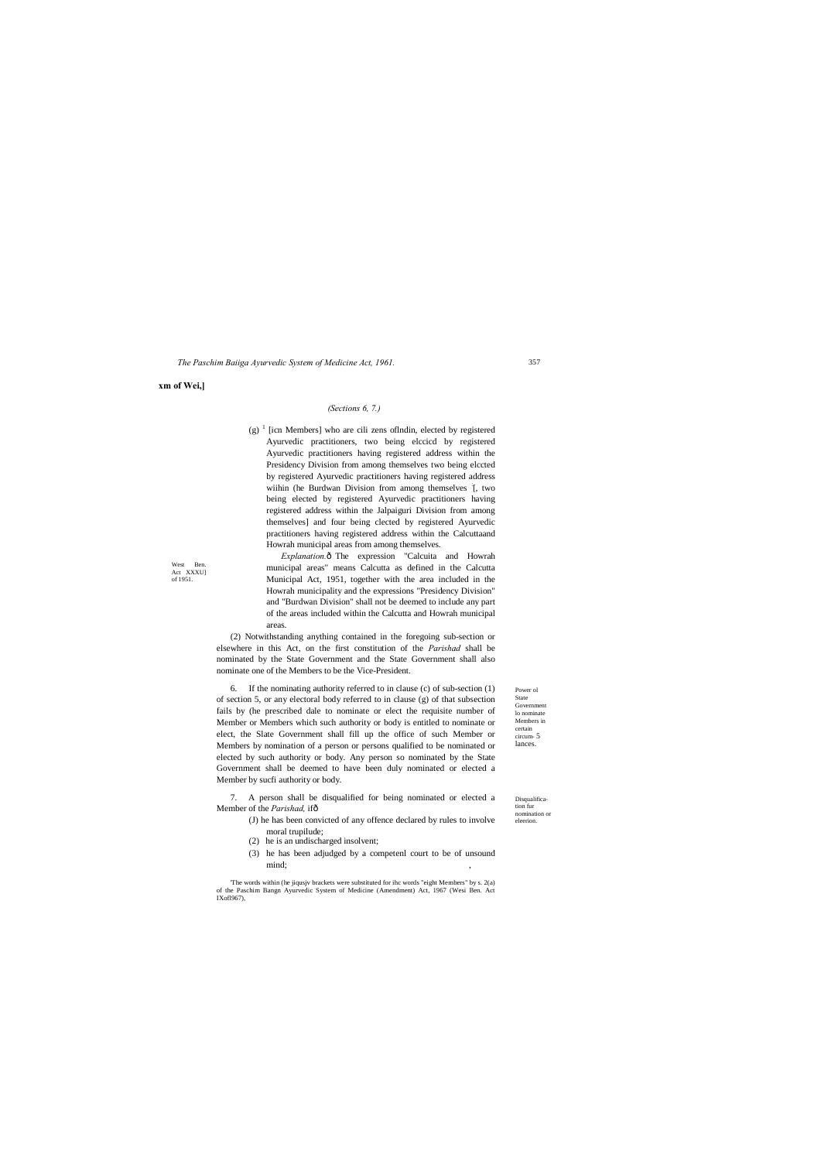Power ol State Government lo nominate Members in certain circum- 5 lances.

West Ben Act XXXU] of 1951.

> Disqualification fur nomination or eleerion.

*The Paschim Baiiga Ayurvedic System of Medicine Act, 1961.*

**xm of Wei,]**

## *(Sections 6, 7.)*

(g)  $\frac{1}{2}$  [icn Members] who are cili zens of lndin, elected by registered Ayurvedic practitioners, two being elccicd by registered Ayurvedic practitioners having registered address within the Presidency Division from among themselves two being elccted by registered Ayurvedic practitioners having registered address wiihin (he Burdwan Division from among themselves [, two being elected by registered Ayurvedic practitioners having registered address within the Jalpaiguri Division from among themselves] and four being clected by registered Ayurvedic practitioners having registered address within the Calcuttaand Howrah municipal areas from among themselves.

*Explanation.* $\hat{o}$  The expression "Calcuita and Howrah municipal areas" means Calcutta as defined in the Calcutta Municipal Act, 1951, together with the area included in the Howrah municipality and the expressions "Presidency Division" and "Burdwan Division" shall not be deemed to include any part of the areas included within the Calcutta and Howrah municipal areas.

(2) Notwithstanding anything contained in the foregoing sub-section or elsewhere in this Act, on the first constitution of the *Parishad* shall be nominated by the State Government and the State Government shall also nominate one of the Members to be the Vice-President.

6. If the nominating authority referred to in clause (c) of sub-section (1) of section 5, or any electoral body referred to in clause (g) of that subsection fails by (he prescribed dale to nominate or elect the requisite number of Member or Members which such authority or body is entitled to nominate or elect, the Slate Government shall fill up the office of such Member or Members by nomination of a person or persons qualified to be nominated or elected by such authority or body. Any person so nominated by the State Government shall be deemed to have been duly nominated or elected a Member by sucfi authority or body.

7. A person shall be disqualified for being nominated or elected a Member of the *Parishad,* if—

- (J) he has been convicted of any offence declared by rules to involve moral trupilude;
- (2) he is an undischarged insolvent;
- (3) he has been adjudged by a competenl court to be of unsound mind; ,

'The words within (he jiqusjv brackets were substituted for ihc words "eight Members" by s. 2(a) of the Paschim Bangn Ayurvedic System of Medicine (Amendment) Act, 1967 (Wesi Ben. Act IXofl967),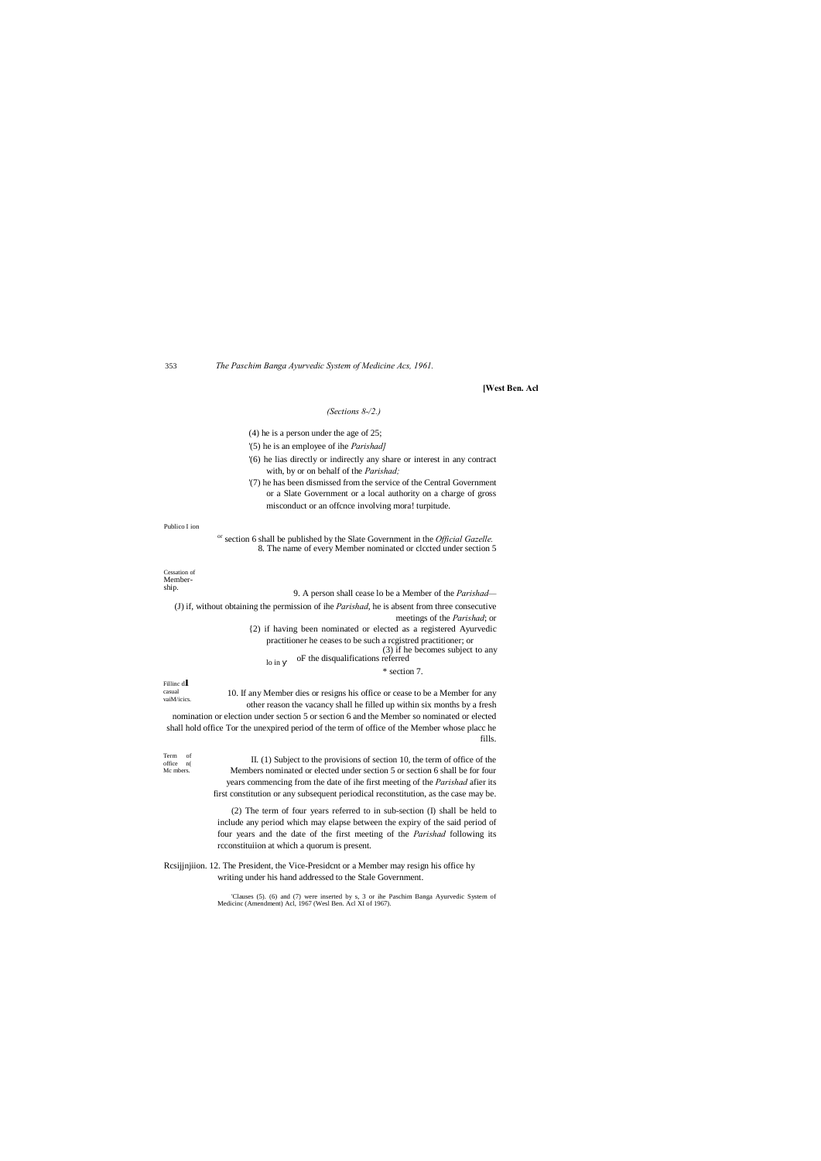Cessation of Membership.

Fillinc <sup>d</sup>**I**

casual

353 *The Paschim Banga Ayurvedic System of Medicine Acs, 1961.*

**[West Ben. Acl**

## *(Sections 8-/2.)*

## (4) he is a person under the age of 25;

'(5) he is an employee of ihe *Parishad]*

- '(6) he lias directly or indirectly any share or interest in any contract with, by or on behalf of the *Parishad;*
- '(7) he has been dismissed from the service of the Central Government or a Slate Government or a local authority on a charge of gross misconduct or an offcnce involving mora! turpitude.

lo in (3) if he becomes subject to any oF the disqualifications referred

Publico I ion

or section 6 shall be published by the Slate Government in the *Official Gazelle.* 8. The name of every Member nominated or clccted under section 5

9. A person shall cease lo be a Member of the *Parishad—*

vaiM/icics. 10. If any Member dies or resigns his office or cease to be a Member for any other reason the vacancy shall he filled up within six months by a fresh nomination or election under section 5 or section 6 and the Member so nominated or elected shall hold office Tor the unexpired period of the term of office of the Member whose placc he fills.

(J) if, without obtaining the permission of ihe *Parishad*, he is absent from three consecutive meetings of the *Parishad*; or {2) if having been nominated or elected as a registered Ayurvedic practitioner he ceases to be such a rcgistred practitioner; or

Term of office n( Mc mbers. II. (1) Subject to the provisions of section 10, the term of office of the Members nominated or elected under section 5 or section 6 shall be for four years commencing from the date of ihe first meeting of the *Parishad* afier its first constitution or any subsequent periodical reconstitution, as the case may be.

\* section 7.

(2) The term of four years referred to in sub-section (I) shall be held to include any period which may elapse between the expiry of the said period of four years and the date of the first meeting of the *Parishad* following its rcconstituiion at which a quorum is present.

Rcsijjnjiion. 12. The President, the Vice-Presidcnt or a Member may resign his office hy

writing under his hand addressed to the Stale Government.

'Clauses (5). (6) and (7) were inserted by s, 3 or ihe Paschim Banga Ayurvedic System of Medicinc (Amendment) Acl, 1967 (Wesl Ben. Acl XI of 1967).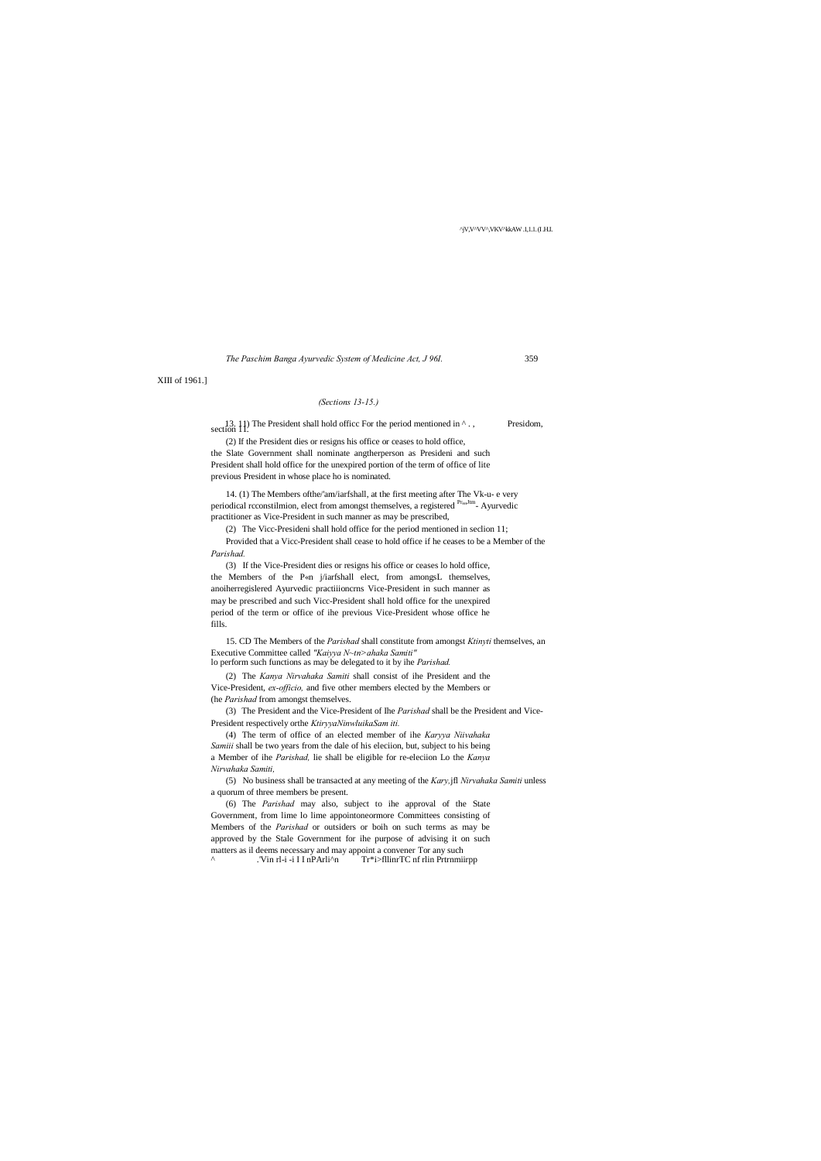^jV,V^VV^,VKV^kkAW .1,1.1. (I .H.I.

*The Paschim Banga Ayurvedic System of Medicine Act, J 96I.* 359

XIII of 1961.]

## *(Sections 13-15.)*

13. 11) The President shall hold office For the period mentioned in  $\wedge$ ., Presidom, section 11.

(2) If the President dies or resigns his office or ceases to hold office, the Slate Government shall nominate angtherperson as Presideni and such President shall hold office for the unexpired portion of the term of office of lite previous President in whose place ho is nominated.

14. (1) The Members ofthe/'am/iarfshall, at the first meeting after The Vk-u- e very periodical rcconstilmion, elect from amongst themselves, a registered <sup>PruJtm</sup>- Ayurvedic practitioner as Vice-President in such manner as may be prescribed,

(2) The Vicc-Presideni shall hold office for the period mentioned in seclion 11;

Provided that a Vicc-President shall cease to hold office if he ceases to be a Member of the *Parishad.*

(6) The *Parishad* may also, subject to ihe approval of the State Government, from lime lo lime appointoneormore Committees consisting of Members of the *Parishad* or outsiders or boih on such terms as may be approved by the Stale Government for ihe purpose of advising it on such matters as il deems necessary and may appoint a convener Tor any such  $\sim$  . The T-i -i I I nPArli $\sim$  Tr\*i>fllinrTC nf rlin Prtrnmii Tr\*i>fllinrTC nf rlin Prtrnmiirpp

(3) If the Vice-President dies or resigns his office or ceases lo hold office, the Members of the P«n j/iarfshall elect, from amongsL themselves, anoiherregislered Ayurvedic practiiioncrns Vice-President in such manner as may be prescribed and such Vicc-President shall hold office for the unexpired period of the term or office of ihe previous Vice-President whose office he fills.

15. CD The Members of the *Parishad* shall constitute from amongst *Ktinyti* themselves, an Executive Committee called *"Kaiyya N~tn>ahaka Samiti"* lo perform such functions as may be delegated to it by ihe *Parishad.*

(2) The *Kanya Nirvahaka Samiti* shall consist of ihe President and the Vice-President, *ex-officio,* and five other members elected by the Members or (he *Parishad* from amongst themselves.

(3) The President and the Vice-President of Ihe *Parishad* shall be the President and Vice-President respectively orthe *KtiryyaNinwluikaSam iti.*

(4) The term of office of an elected member of ihe *Karyya Niivahaka Samiii* shall be two years from the dale of his eleciion, but, subject to his being a Member of ihe *Parishad,* lie shall be eligible for re-eleciion Lo the *Kanya Nirvahaka Samiti,*

(5) No business shall be transacted at any meeting of the *Kary,*jfl *Nirvahaka Samiti* unless a quorum of three members be present.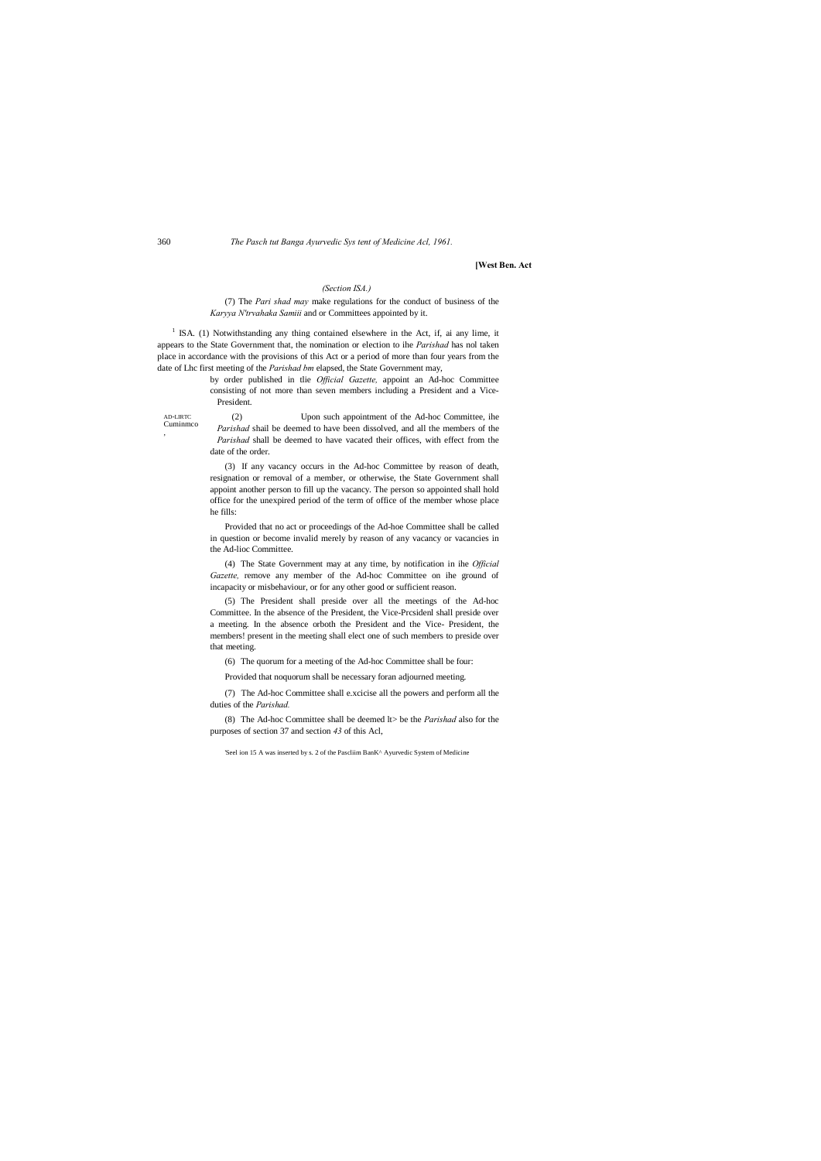AD-LIRTC Cuminmco

,

360 *The Pasch tut Banga Ayurvedic Sys tent of Medicine Acl, 1961.*

## **[West Ben. Act**

### *(Section ISA.)*

## (7) The *Pari shad may* make regulations for the conduct of business of the *Karyya N'trvahaka Samiii* and or Committees appointed by it.

 $1$  ISA. (1) Notwithstanding any thing contained elsewhere in the Act, if, ai any lime, it appears to the State Government that, the nomination or election to ihe *Parishad* has nol taken place in accordance with the provisions of this Act or a period of more than four years from the date of Lhc first meeting of the *Parishad bm* elapsed, the State Government may,

> by order published in tlie *Official Gazette,* appoint an Ad-hoc Committee consisting of not more than seven members including a President and a Vice-President.

> (2) Upon such appointment of the Ad-hoc Committee, ihe *Parishad* shail be deemed to have been dissolved, and all the members of the *Parishad* shall be deemed to have vacated their offices, with effect from the date of the order.

> (3) If any vacancy occurs in the Ad-hoc Committee by reason of death, resignation or removal of a member, or otherwise, the State Government shall appoint another person to fill up the vacancy. The person so appointed shall hold office for the unexpired period of the term of office of the member whose place he fills:

> Provided that no act or proceedings of the Ad-hoe Committee shall be called in question or become invalid merely by reason of any vacancy or vacancies in the Ad-lioc Committee.

> (4) The State Government may at any time, by notification in ihe *Official Gazette,* remove any member of the Ad-hoc Committee on ihe ground of incapacity or misbehaviour, or for any other good or sufficient reason.

> (5) The President shall preside over all the meetings of the Ad-hoc Committee. In the absence of the President, the Vice-Prcsidenl shall preside over a meeting. In the absence orboth the President and the Vice- President, the members! present in the meeting shall elect one of such members to preside over that meeting.

(6) The quorum for a meeting of the Ad-hoc Committee shall be four:

Provided that noquorum shall be necessary foran adjourned meeting.

(7) The Ad-hoc Committee shall e.xcicise all the powers and perform all the duties of the *Parishad.*

(8) The Ad-hoc Committee shall be deemed lt> be the *Parishad* also for the purposes of section 37 and section *43* of this Acl,

'Seel ion 15 A was inserted by s. 2 of the Pascliim BanK^ Ayurvedic System of Medicine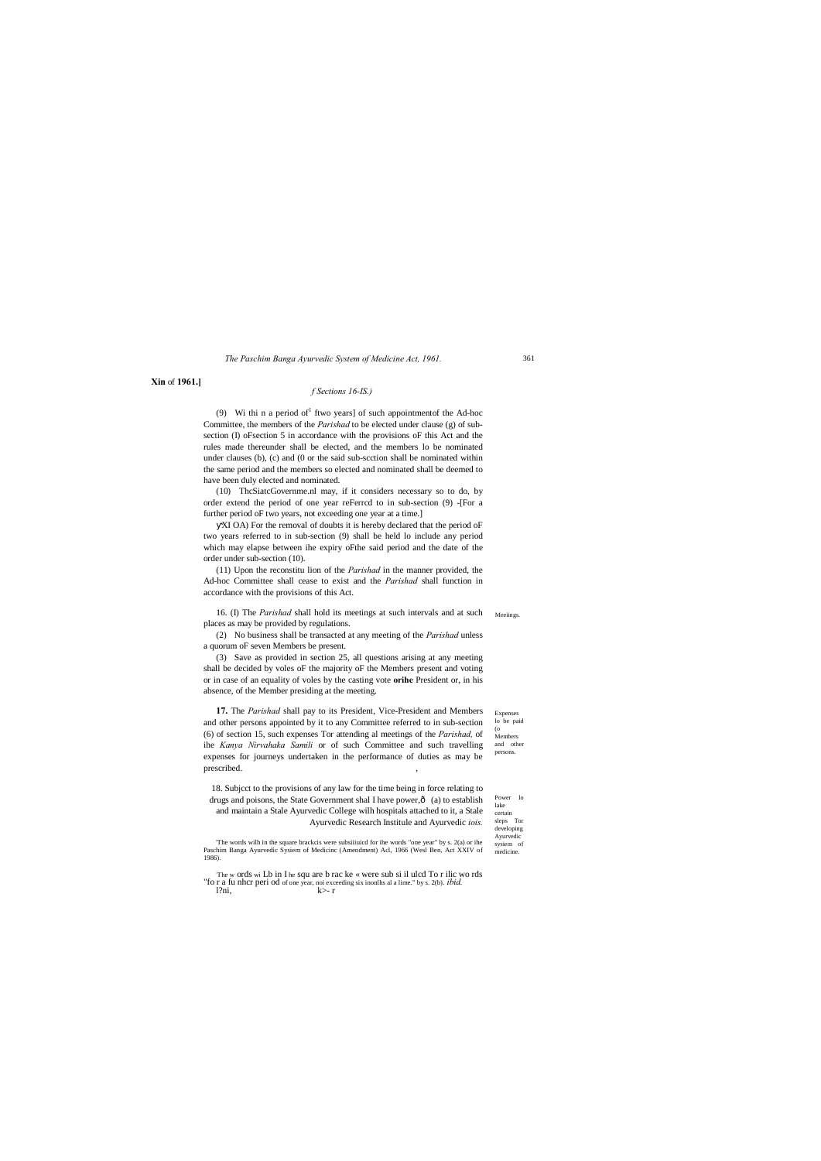(o **17.** The *Parishad* shall pay to its President, Vice-President and Members and other persons appointed by it to any Committee referred to in sub-section (6) of section 15, such expenses Tor attending al meetings of the *Parishad,* of ihe *Kanya Nirvahaka Samili* or of such Committee and such travelling expenses for journeys undertaken in the performance of duties as may be prescribed.

Expenses lo be paid Members and other persons.

Power lo lake certain sleps Tor developing Ayurvedio sysiem of

#### *The Paschim Banga Ayurvedic System of Medicine Act, 1961.*

**Xin** of **1961.]**

#### *f Sections 16-IS.)*

(9) Wi thi n a period of ftwo years] of such appointment of the Ad-hoc Committee, the members of the *Parishad* to be elected under clause (g) of subsection (I) oFsection 5 in accordance with the provisions oF this Act and the rules made thereunder shall be elected, and the members lo be nominated under clauses (b), (c) and (0 or the said sub-scction shall be nominated within the same period and the members so elected and nominated shall be deemed to have been duly elected and nominated.

16. (I) The *Parishad* shall hold its meetings at such intervals and at such Meetings. places as may be provided by regulations.

(10) ThcSiatcGovernme.nl may, if it considers necessary so to do, by order extend the period of one year reFerrcd to in sub-section (9) -[For a further period oF two years, not exceeding one year at a time.]

XI OA) For the removal of doubts it is hereby declared that the period oF two years referred to in sub-section (9) shall be held lo include any period which may elapse between ihe expiry oFthe said period and the date of the order under sub-section (10).

(11) Upon the reconstitu lion of the *Parishad* in the manner provided, the Ad-hoc Committee shall cease to exist and the *Parishad* shall function in accordance with the provisions of this Act.

The <sup>w</sup> ords wi Lb in I he squ are b rac ke « were sub si il ulcd To r ilic wo rds "fo r a fu nhcr peri od of one year, noi exceeding six inonlhs al a lime." by s. 2(b). *ibid.*  $l?ni, \t\t k > -r$ 

medicine. 'The words wilh in the square brackcis were subsiiiuicd for ihe words "one year" by s. 2(a) or ihe Paschim Banga Ayurvedic Sysiem of Medicinc (Amendment) Acl, 1966 (Wesl Ben, Act XXIV of 1986).

(2) No business shall be transacted at any meeting of the *Parishad* unless a quorum oF seven Members be present.

(3) Save as provided in section 25, all questions arising at any meeting shall be decided by voles oF the majority oF the Members present and voting or in case of an equality of voles by the casting vote **orihe** President or, in his absence, of the Member presiding at the meeting.

18. Subjcct to the provisions of any law for the time being in force relating to drugs and poisons, the State Government shal I have power, $\hat{o}$  (a) to establish and maintain a Stale Ayurvedic College wilh hospitals attached to it, a Stale Ayurvedic Research Institule and Ayurvedic *iois.*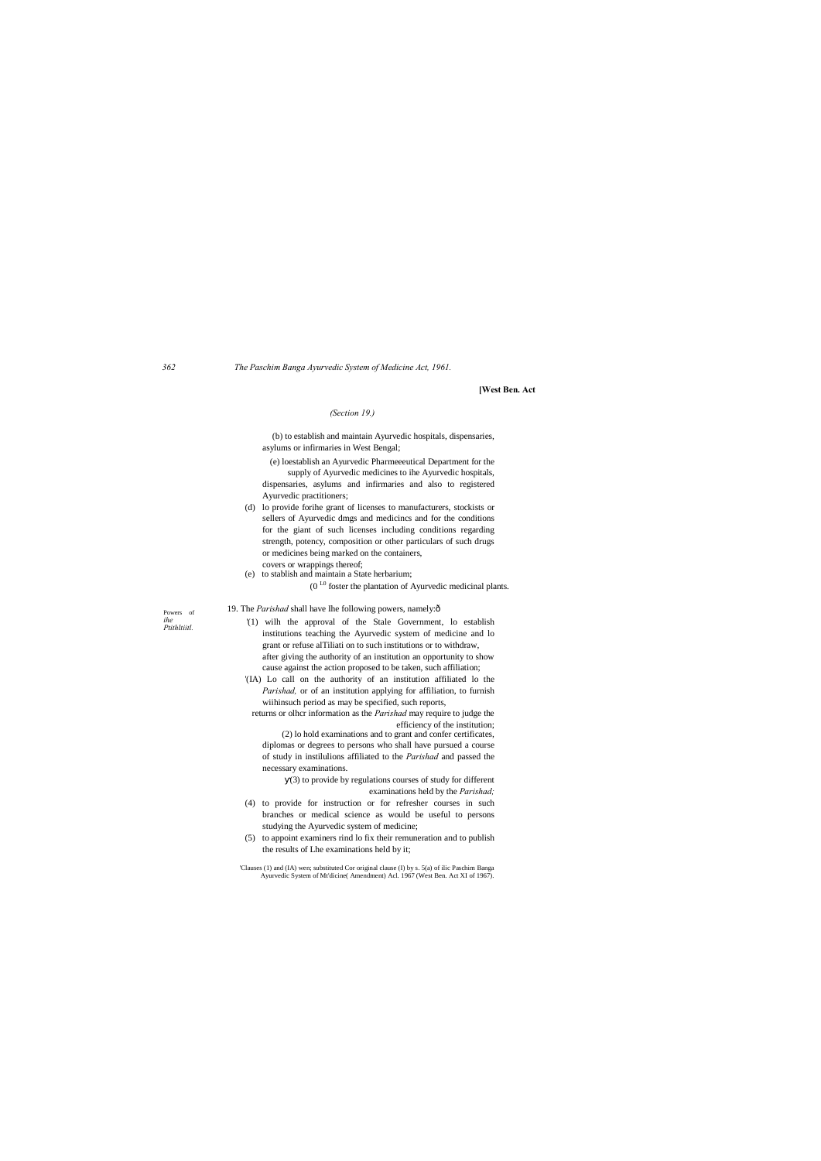Powers of *ihe Ptithltiitl.*

*362 The Paschim Banga Ayurvedic System of Medicine Act, 1961.*

**[West Ben. Act**

### *(Section 19.)*

(b) to establish and maintain Ayurvedic hospitals, dispensaries, asylums or infirmaries in West Bengal;

(e) loestablish an Ayurvedic Pharmeeeutical Department for the supply of Ayurvedic medicines to ihe Ayurvedic hospitals,

dispensaries, asylums and infirmaries and also to registered Ayurvedic practitioners;

- (d) lo provide forihe grant of licenses to manufacturers, stockists or sellers of Ayurvedic dmgs and medicincs and for the conditions for the giant of such licenses including conditions regarding strength, potency, composition or other particulars of such drugs or medicines being marked on the containers, covers or wrappings thereof;
- (e) to stablish and maintain a State herbarium;

19. The *Parishad* shall have Ihe following powers, namely:ô

 $(0<sup>L0</sup>$  foster the plantation of Ayurvedic medicinal plants.

'Clauses (1) and (IA) wen; substituted Cor original clause (I) by s. 5(a) of ilic Paschim Banga n of Mt'dicine( Amendment) Acl. 1967 (West

- '(1) wilh the approval of the Stale Government, lo establish institutions teaching the Ayurvedic system of medicine and lo grant or refuse alTiliati on to such institutions or to withdraw, after giving the authority of an institution an opportunity to show cause against the action proposed to be taken, such affiliation;
- '(IA) Lo call on the authority of an institution affiliated lo the *Parishad,* or of an institution applying for affiliation, to furnish wiihinsuch period as may be specified, such reports,

returns or olhcr information as the *Parishad* may require to judge the efficiency of the institution;

(2) lo hold examinations and to grant and confer certificates, diplomas or degrees to persons who shall have pursued a course of study in instilulions affiliated to the *Parishad* and passed the necessary examinations.

(3) to provide by regulations courses of study for different examinations held by the *Parishad;*

- (4) to provide for instruction or for refresher courses in such branches or medical science as would be useful to persons studying the Ayurvedic system of medicine;
- (5) to appoint examiners rind lo fix their remuneration and to publish the results of Lhe examinations held by it;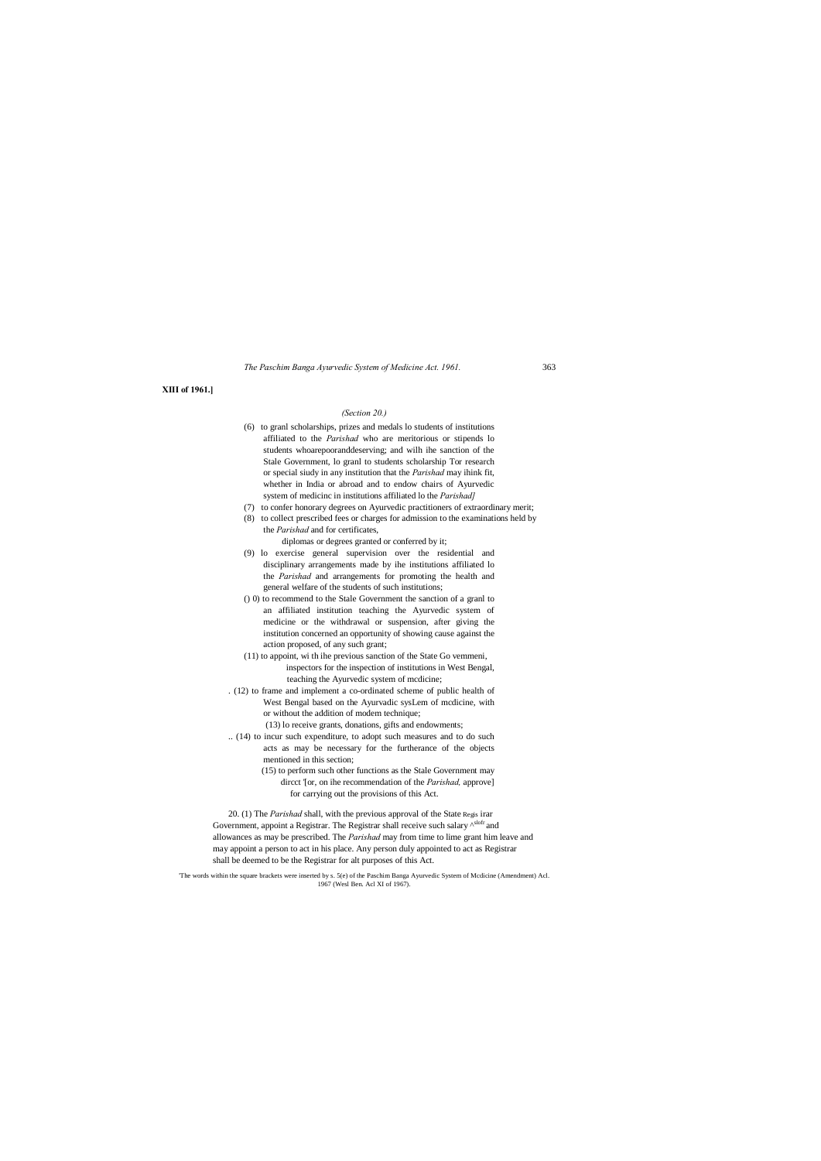*The Paschim Banga Ayurvedic System of Medicine Act. 1961.* 363

## **XIII of 1961.]**

## *(Section 20.)*

- (6) to granl scholarships, prizes and medals lo students of institutions affiliated to the *Parishad* who are meritorious or stipends lo students whoarepooranddeserving; and wilh ihe sanction of the Stale Government, lo granl to students scholarship Tor research or special siudy in any institution that the *Parishad* may ihink fit, whether in India or abroad and to endow chairs of Ayurvedic system of medicinc in institutions affiliated lo the *Parishad]*
- (7) to confer honorary degrees on Ayurvedic practitioners of extraordinary merit;
- (8) to collect prescribed fees or charges for admission to the examinations held by the *Parishad* and for certificates,
	- diplomas or degrees granted or conferred by it;
- (9) lo exercise general supervision over the residential and disciplinary arrangements made by ihe institutions affiliated lo the *Parishad* and arrangements for promoting the health and general welfare of the students of such institutions;
- () 0) to recommend to the Stale Government the sanction of a granl to an affiliated institution teaching the Ayurvedic system of medicine or the withdrawal or suspension, after giving the institution concerned an opportunity of showing cause against the action proposed, of any such grant;
- (11) to appoint, wi th ihe previous sanction of the State Go vemmeni, inspectors for the inspection of institutions in West Bengal, teaching the Ayurvedic system of mcdicine;
- . (12) to frame and implement a co-ordinated scheme of public health of West Bengal based on the Ayurvadic sysLem of mcdicine, with or without the addition of modem technique;
	- (13) lo receive grants, donations, gifts and endowments;
- .. (14) to incur such expenditure, to adopt such measures and to do such acts as may be necessary for the furtherance of the objects mentioned in this section;
	- (15) to perform such other functions as the Stale Government may dircct '[or, on ihe recommendation of the *Parishad,* approve] for carrying out the provisions of this Act.

20. (1) The *Parishad* shall, with the previous approval of the State Regis irar Government, appoint a Registrar. The Registrar shall receive such salary  $\wedge^{slot}$  and allowances as may be prescribed. The *Parishad* may from time to lime grant him leave and may appoint a person to act in his place. Any person duly appointed to act as Registrar shall be deemed to be the Registrar for alt purposes of this Act.

re brackets were inserted by s. 5(e) of the Paschim Banga Ayurvedic System of Mcdicine (Amendment) Acl

1967 (Wesl Ben. Acl XI of 1967).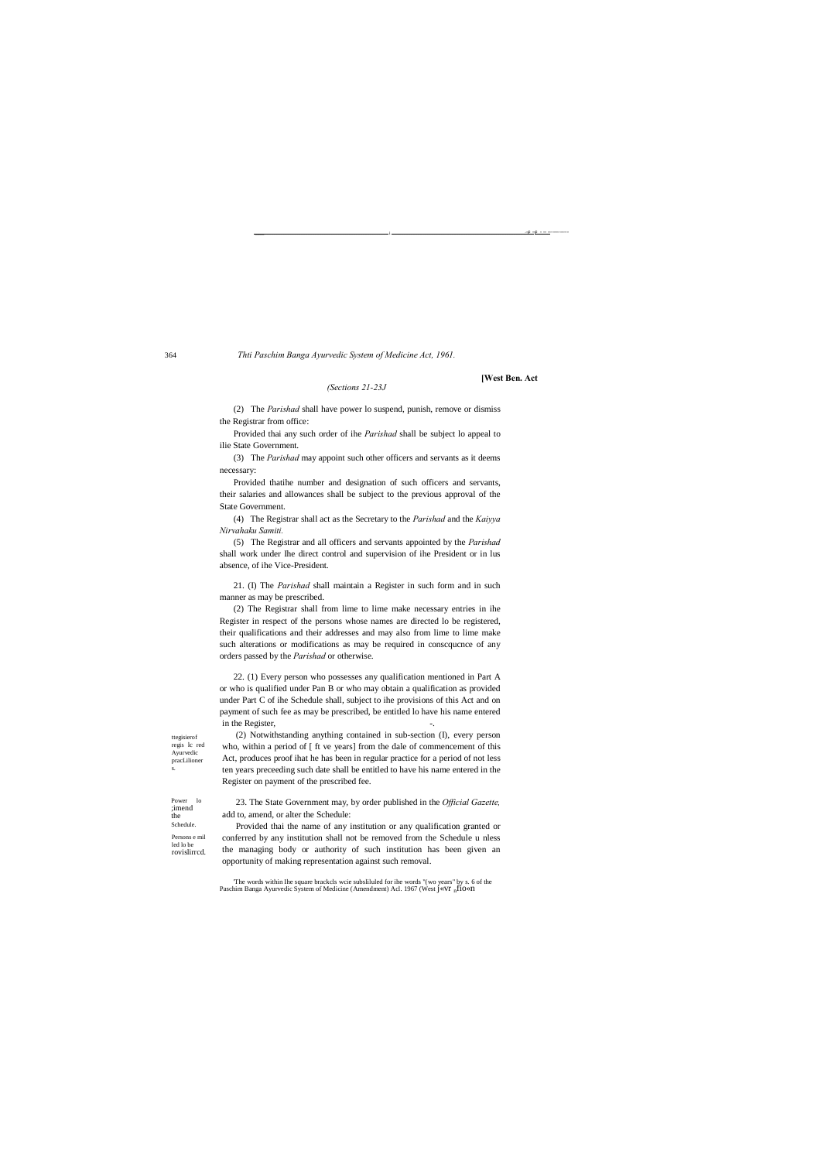Thti Paschim Banga Ayurvedic System of Medicine Act, 1961.

### (Sections 21-23J

(2) The *Parishad* shall have power lo suspend, punish, remove or dismiss the Registrar from office:

Provided thai any such order of ihe Parishad shall be subject lo appeal to ilie State Government.

(3) The Parishad may appoint such other officers and servants as it deems necessary:

Provided thatihe number and designation of such officers and servants, their salaries and allowances shall be subject to the previous approval of the State Government.

(4) The Registrar shall act as the Secretary to the Parishad and the Kaiyya Nirvahaku Samiti.

(5) The Registrar and all officers and servants appointed by the Parishad shall work under Ihe direct control and supervision of ihe President or in lus absence, of ihe Vice-President.

21. (I) The Parishad shall maintain a Register in such form and in such manner as may be prescribed.

(2) The Registrar shall from lime to lime make necessary entries in ihe Register in respect of the persons whose names are directed lo be registered, their qualifications and their addresses and may also from lime to lime make such alterations or modifications as may be required in consequence of any orders passed by the Parishad or otherwise.

22. (1) Every person who possesses any qualification mentioned in Part A or who is qualified under Pan B or who may obtain a qualification as provided under Part C of ihe Schedule shall, subject to ihe provisions of this Act and on payment of such fee as may be prescribed, be entitled lo have his name entered in the Register,

(2) Notwithstanding anything contained in sub-section (I), every person

who, within a period of [ ft ve years] from the dale of commencement of this

Act, produces proof ihat he has been in regular practice for a period of not less

ten years preceeding such date shall be entitled to have his name entered in the

Register on payment of the prescribed fee.

ttegisierof regis lc red Ayurvedic pracLilioner

Power lo<br>;imend the Schedule Persons e mil led lo be

rovislirred.

23. The State Government may, by order published in the Official Gazette, add to, amend, or alter the Schedule:

Provided thai the name of any institution or any qualification granted or conferred by any institution shall not be removed from the Schedule u nless the managing body or authority of such institution has been given an opportunity of making representation against such removal.

[West Ben. Act

364

The words within Ihe square brackcls wcie subsliluted for ihe words "(wo years" by s. 6 of the Paschim Banga Ayurvedic System of Medicine (Amendment) Acl. 1967 (West J«VI  $_n$ f10«II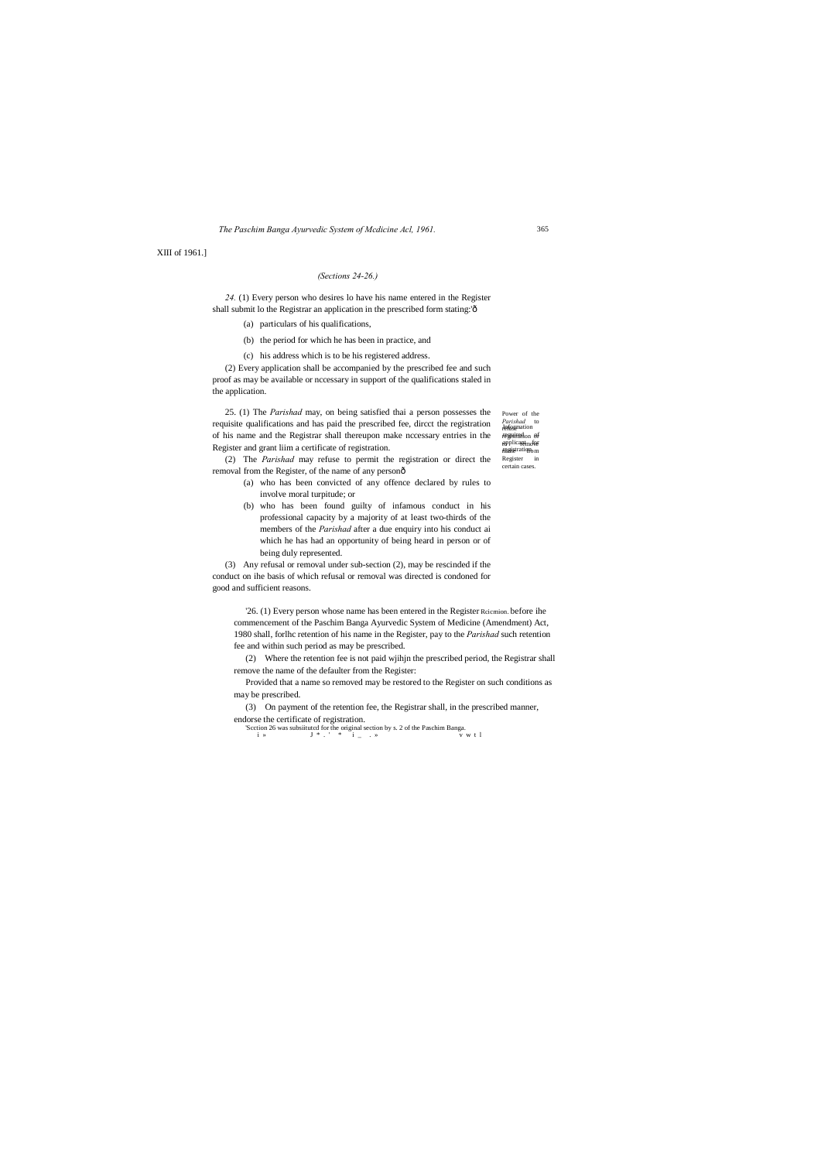*Parishad* to<br><del>Jeffyr</del>anation regisiration of applicant<sub>mo</sub>for ragistration. Register in certain cases.

*24.* (1) Every person who desires lo have his name entered in the Register shall submit lo the Registrar an application in the prescribed form stating:'ô

*The Paschim Banga Ayurvedic System of Mcdicine Acl, 1961.*

XIII of 1961.]

## *(Sections 24-26.)*

- (a) particulars of his qualifications,
- (b) the period for which he has been in practice, and
- (c) his address which is to be his registered address.

(2) The *Parishad* may refuse to permit the registration or direct the removal from the Register, of the name of any personô

Power of the 25. (1) The *Parishad* may, on being satisfied thai a person possesses the requisite qualifications and has paid the prescribed fee, dircct the registration of his name and the Registrar shall thereupon make nccessary entries in the Register and grant liim a certificate of registration.

(2) Every application shall be accompanied by the prescribed fee and such proof as may be available or nccessary in support of the qualifications staled in the application.

- (a) who has been convicted of any offence declared by rules to involve moral turpitude; or
- (b) who has been found guilty of infamous conduct in his professional capacity by a majority of at least two-thirds of the members of the *Parishad* after a due enquiry into his conduct ai which he has had an opportunity of being heard in person or of being duly represented.

(3) Any refusal or removal under sub-section (2), may be rescinded if the conduct on ihe basis of which refusal or removal was directed is condoned for good and sufficient reasons.

'26. (1) Every person whose name has been entered in the Register Rcicmion. before ihe commencement of the Paschim Banga Ayurvedic System of Medicine (Amendment) Act, 1980 shall, forlhc retention of his name in the Register, pay to the *Parishad* such retention fee and within such period as may be prescribed.

(2) Where the retention fee is not paid wjihjn the prescribed period, the Registrar shall remove the name of the defaulter from the Register:

Provided that a name so removed may be restored to the Register on such conditions as may be prescribed.

(3) On payment of the retention fee, the Registrar shall, in the prescribed manner,

endorse the certificate of registration.

'Scction 26 was subsiitutcd for the original section by s. 2 of the Paschim Banga. i » J \* . ' \* i \_ . » v w t l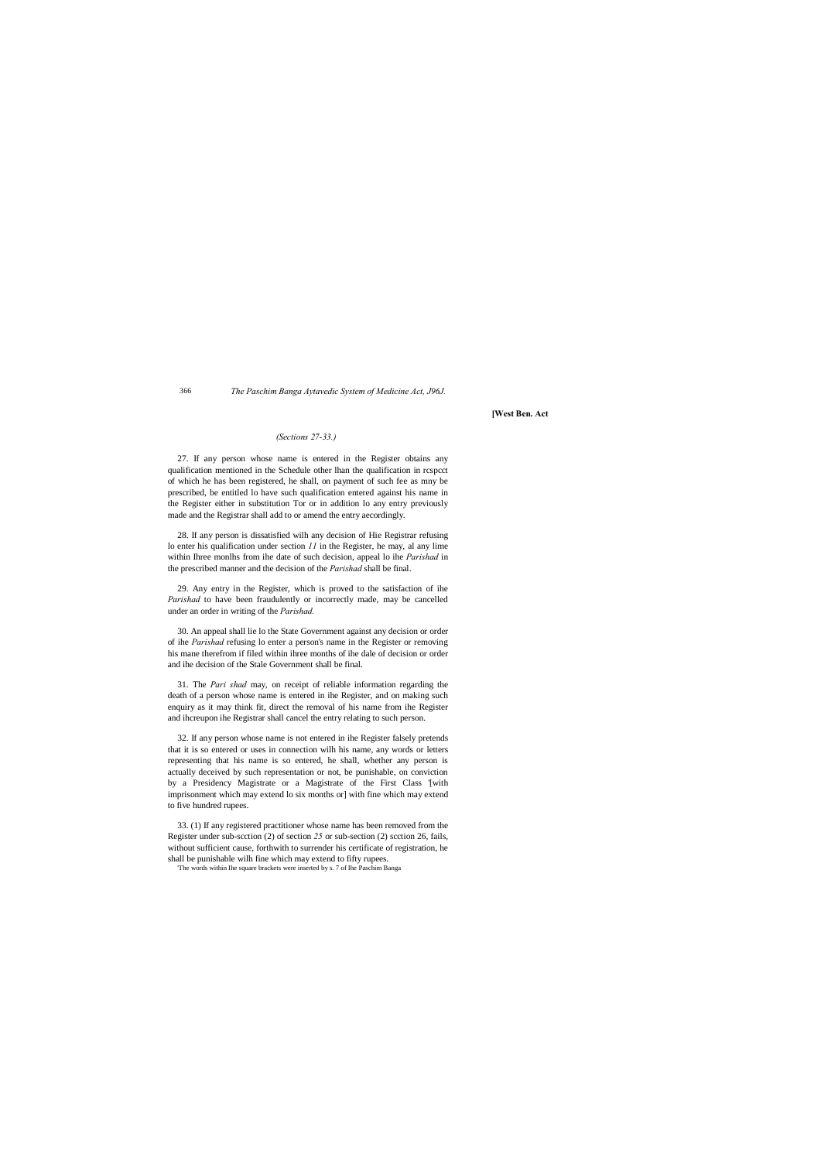#### 366 *The Paschim Banga Aytavedic System of Medicine Act, J96J.*

**[West Ben. Act**

## *(Sections 27-33.)*

27. If any person whose name is entered in the Register obtains any qualification mentioned in the Schedule other lhan the qualification in rcspcct of which he has been registered, he shall, on payment of such fee as mny be prescribed, be entitled lo have such qualification entered against his name in the Register either in substitution Tor or in addition lo any entry previously made and the Registrar shall add to or amend the entry aecordingly.

28. If any person is dissatisfied wilh any decision of Hie Registrar refusing lo enter his qualification under section *11* in the Register, he may, al any lime within Ihree monlhs from ihe date of such decision, appeal lo ihe *Parishad* in the prescribed manner and the decision of the *Parishad* shall be final.

29. Any entry in the Register, which is proved to the satisfaction of ihe *Parishad* to have been fraudulently or incorrectly made, may be cancelled under an order in writing of the *Parishad.*

30. An appeal shall lie lo the State Government against any decision or order of ihe *Parishad* refusing lo enter a person's name in the Register or removing his mane therefrom if filed within ihree months of ihe dale of decision or order and ihe decision of the Stale Government shall be final.

31. The *Pari shad* may, on receipt of reliable information regarding the death of a person whose name is entered in ihe Register, and on making such enquiry as it may think fit, direct the removal of his name from ihe Register and ihcreupon ihe Registrar shall cancel the entry relating to such person.

32. If any person whose name is not entered in ihe Register falsely pretends that it is so entered or uses in connection wilh his name, any words or letters representing that his name is so entered, he shall, whether any person is actually deceived by such representation or not, be punishable, on conviction by a Presidency Magistrate or a Magistrate of the First Class '[with imprisonment which may extend lo six months or] with fine which may extend to five hundred rupees.

33. (1) If any registered practitioner whose name has been removed from the Register under sub-scction (2) of section *25* or sub-section (2) scction 26, fails, without sufficient cause, forthwith to surrender his certificate of registration, he shall be punishable wilh fine which may extend to fifty rupees.

'The words within Ihe square brackets were inserted by s. 7 of Ihe Paschim Banga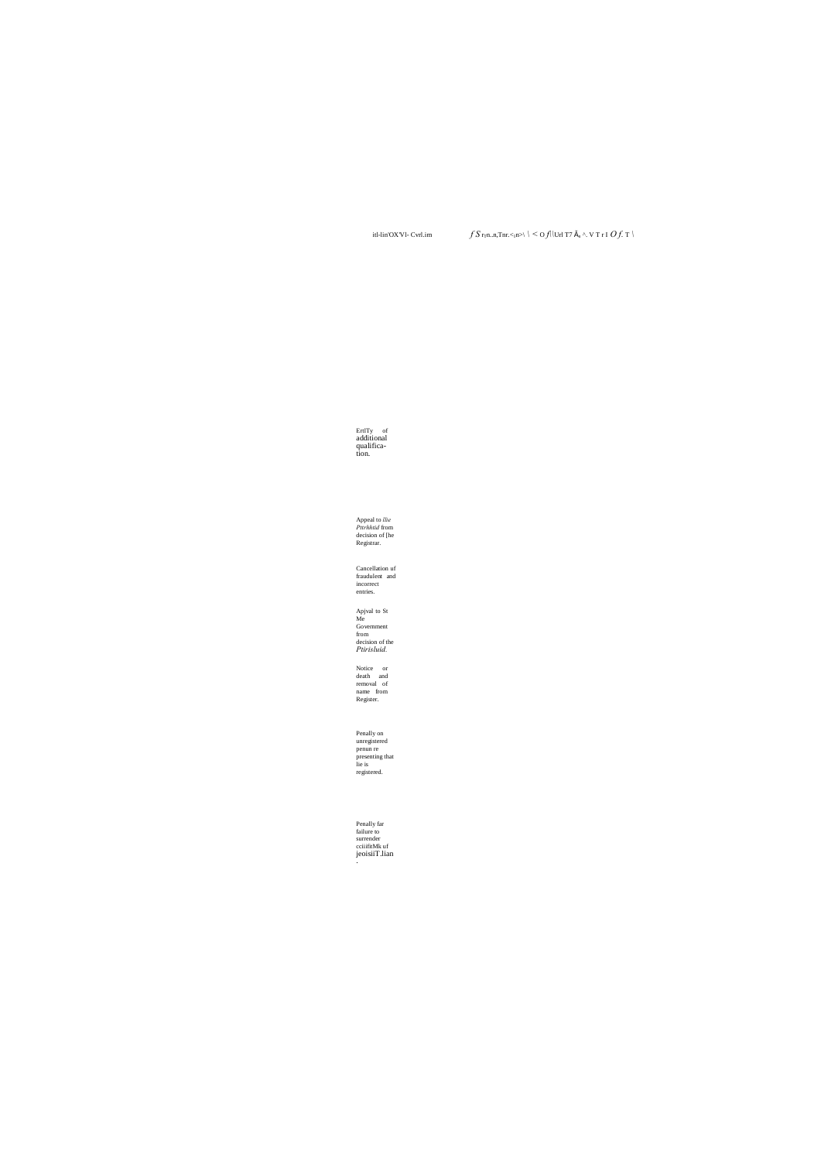itl-lin'OX'Vl- Cvrl.im

 $\textstyle\int S\, {\bf r}_{\rm T}{\bf n}.{\bf n}, {\rm Tr}{\bf r}.<_{\rm I}{\bf n}\triangleright\backslash\ \mid\ \leq {\bf O}f\vert\, \vert {\bf U}{\bf r}\vert\ {\bf T}7\ \S\ _{{\bf n}}\ \wedge\ {\bf V}\ {\bf T}\ {\bf r}\ {\bf I}\ \ {\bf O}f\ \ T\ \rangle$ 

ErtlTy of<br>additional<br>qualifica-<br>tion.

Appeal to *llie*<br>*Pttrhhtid* from<br>decision of [he<br>Registrar.

Cancellation uf<br>fraudulent and<br>incorrect<br>entries.

Apjval to St<br>Me<br>Government<br>from<br>decision of the<br>*Ptirisluid*.

Notice or<br>death and<br>removal of<br>name from<br>Register.

Penally on<br>unregistered<br>penun re<br>presenting that<br>lie is registered.

Penally far<br>failure to<br>surrender<br>cciiifitMk uf<br>jeoisiiT.lian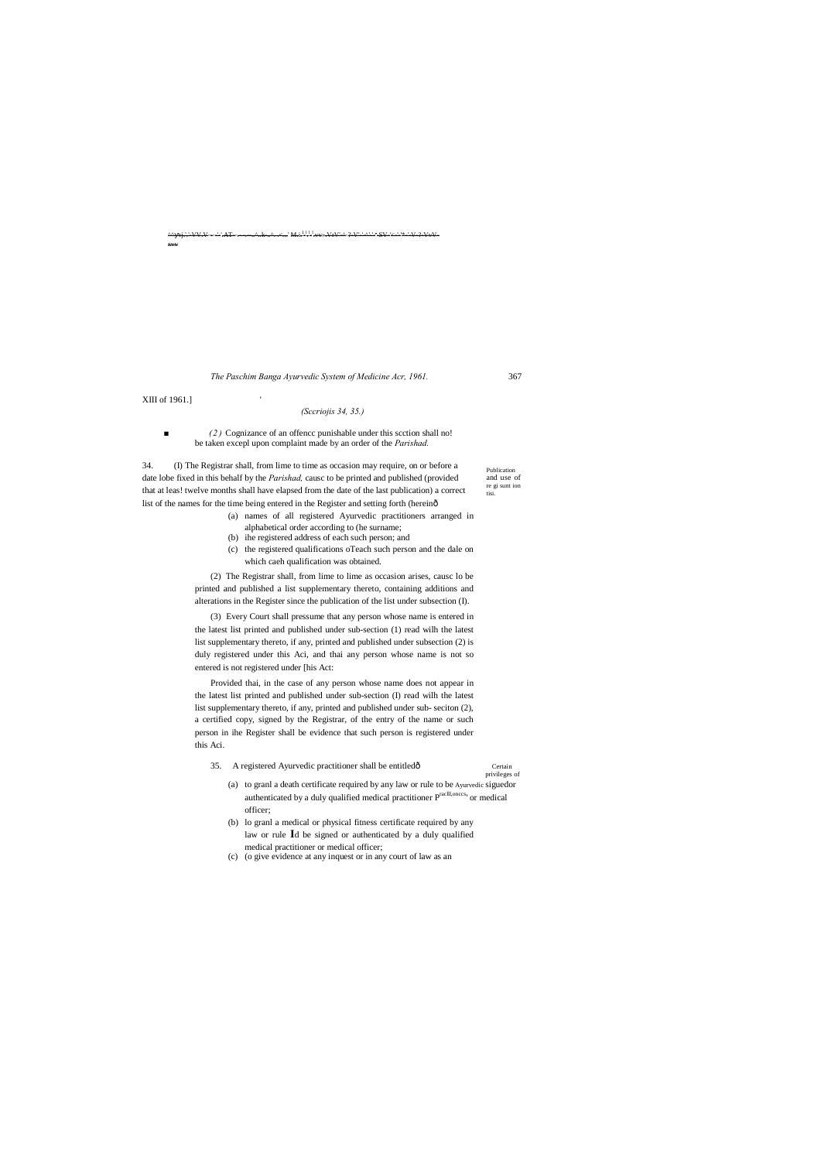Publication and use of re gi sunt ion tisi.

^^ vj.'.'-VV.V----'-'.AT--.- -.--..^..k-..^. .<...' M.i.  $\frac{11}{2}$ l .vv».VrV'-^-?-V'-'-^'-'- ,  $-SV-2-V-2-VV-2$ xvv

■ *(2)* Cognizance of an offencc punishable under this scction shall no! be taken excepl upon complaint made by an order of the *Parishad.*

34. (I) The Registrar shall, from lime to time as occasion may require, on or before a date lobe fixed in this behalf by the *Parishad,* causc to be printed and published (provided that at leas! twelve months shall have elapsed from the date of the last publication) a correct list of the names for the time being entered in the Register and setting forth (hereinô

*The Paschim Banga Ayurvedic System of Medicine Acr, 1961.* 367

XIII of 1961.] '

## *(Sccriojis 34, 35.)*

- (a) names of all registered Ayurvedic practitioners arranged in
- alphabetical order according to (he surname;
- (b) ihe registered address of each such person; and
- (c) the registered qualifications oTeach such person and the dale on which caeh qualification was obtained.

(2) The Registrar shall, from lime to lime as occasion arises, causc lo be printed and published a list supplementary thereto, containing additions and alterations in the Register since the publication of the list under subsection (I).

(3) Every Court shall pressume that any person whose name is entered in the latest list printed and published under sub-section (1) read wilh the latest list supplementary thereto, if any, printed and published under subsection (2) is duly registered under this Aci, and thai any person whose name is not so entered is not registered under [his Act:

Provided thai, in the case of any person whose name does not appear in the latest list printed and published under sub-section (I) read wilh the latest list supplementary thereto, if any, printed and published under sub- seciton (2), a certified copy, signed by the Registrar, of the entry of the name or such person in ihe Register shall be evidence that such person is registered under this Aci.

35. A registered Ayurvedic practitioner shall be entitledô Certain

privileges of

- (a) to granl a death certificate required by any law or rule to be Ayurvedic siguedor authenticated by a duly qualified medical practitioner Praclll,onccs' or medical officer;
- (b) lo granl a medical or physical fitness certificate required by any law or rule **I**d be signed or authenticated by a duly qualified medical practitioner or medical officer;
- (c) (o give evidence at any inquest or in any court of law as an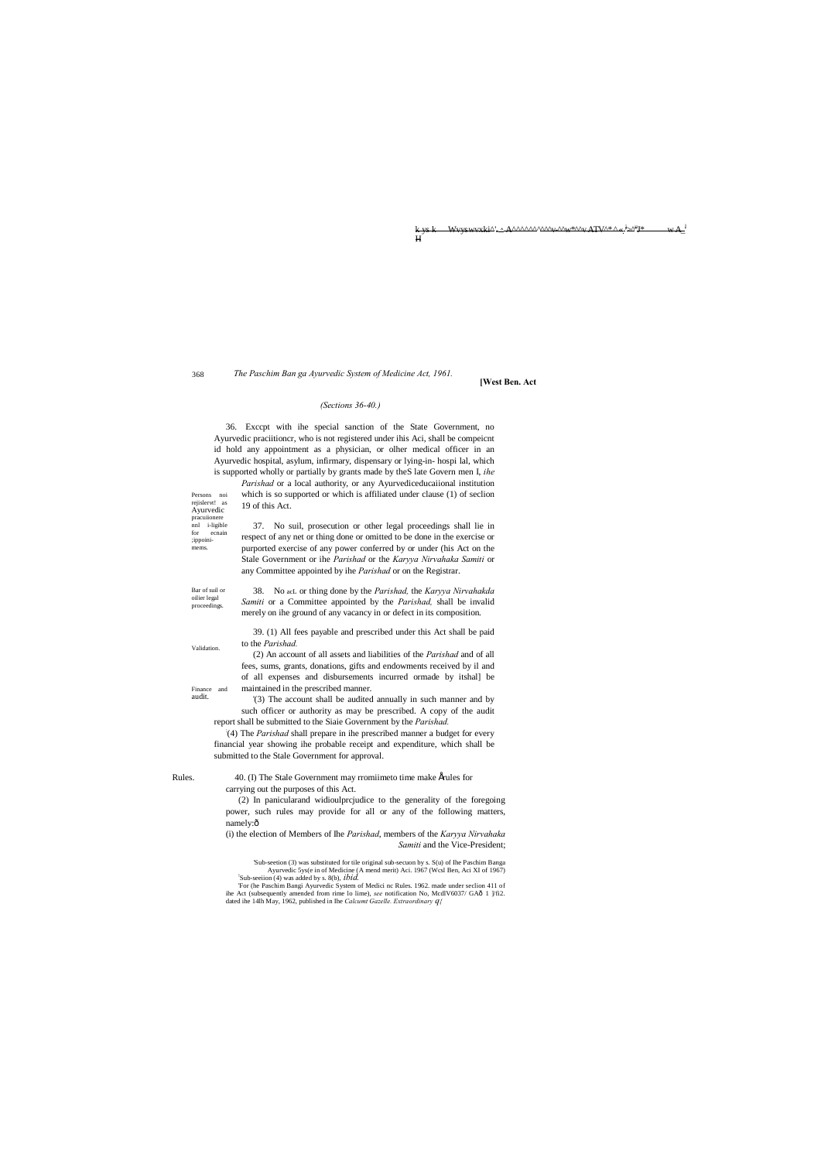<u>AAAAAAAAAA, Aantaraa ATVA Amin'i Ati</u>  $W +$  $H$ 

368

The Paschim Ban ga Ayurvedic System of Medicine Act, 1961.

[West Ben. Act

## (Sections 36-40.)

36. Except with ihe special sanction of the State Government, no Ayurvedic praciitioncr, who is not registered under ihis Aci, shall be compeient id hold any appointment as a physician, or olher medical officer in an Ayurvedic hospital, asylum, infirmary, dispensary or lying-in- hospi lal, which is supported wholly or partially by grants made by the Slate Govern men I, ihe

Parishad or a local authority, or any Ayurvediceducational institution which is so supported or which is affiliated under clause (1) of section 19 of this Act.

37. No suil, prosecution or other legal proceedings shall lie in respect of any net or thing done or omitted to be done in the exercise or purported exercise of any power conferred by or under (his Act on the Stale Government or ihe Parishad or the Karyya Nirvahaka Samiti or any Committee appointed by ihe Parishad or on the Registrar.

Bar of suil of oilier legal proceedings.

Persons noi rejislervt! as

Ayurvedic pracuiionere nnl i-ligible

ecnain

 $\operatorname{for}$ 

;ippoini-

mems.

38. No acL or thing done by the Parishad, the Karyya Nirvahakda Samiti or a Committee appointed by the Parishad, shall be invalid merely on ihe ground of any vacancy in or defect in its composition.

39. (1) All fees payable and prescribed under this Act shall be paid to the Parishad.

Validation

Finance<br>audit.

and

(2) An account of all assets and liabilities of the Parishad and of all fees, sums, grants, donations, gifts and endowments received by il and of all expenses and disbursements incurred ormade by itshal] be maintained in the prescribed manner.

(3) The account shall be audited annually in such manner and by such officer or authority as may be prescribed. A copy of the audit report shall be submitted to the Siaie Government by the Parishad.

(4) The Parishad shall prepare in ihe prescribed manner a budget for every financial year showing ihe probable receipt and expenditure, which shall be submitted to the Stale Government for approval.

Rules.

40. (I) The Stale Government may rromiimeto time make Érules for carrying out the purposes of this Act.

(2) In panicularand widioulprcjudice to the generality of the foregoing power, such rules may provide for all or any of the following matters, namely:ô

(i) the election of Members of Ihe Parishad, members of the Karyya Nirvahaka Samiti and the Vice-President;

'Sub-section (3) was substituted for tile original sub-secuon by s. S(u) of Ihe Paschim Banga Ayurvedic 5ys(e in of Medicine (A mend merit) Aci. 1967 (Wcsl Ben, Aci XI of 1967)<br>Sub-seeiion (4) was added by s. 8(b), *ibid*. For (he Paschim Bangi Ayurvedic System of Medici nc Rules. 1962. made under seclion 411 of ihe Act (subsequently amended from rime lo lime), see notification No, McdlV6037/ GAô 1  $\frac{1}{2}$  1. dated ihe 14lh May, 1962, published in Ihe Calcumt Gazelle. Extraordinary  $q_f$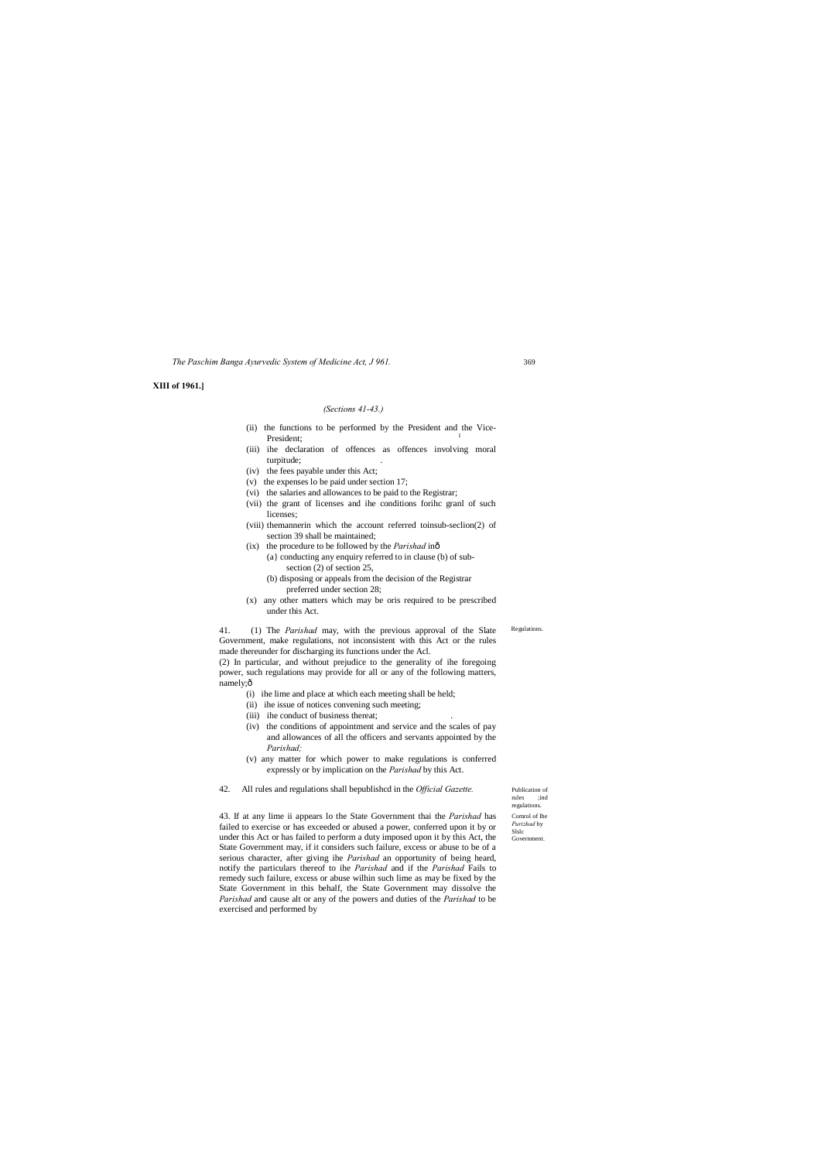Publication of rules ;ind regulations. Comrol of Ihe *Purizhad* by Slslc Government

Regulations.

*The Paschim Banga Ayurvedic System of Medicine Act, J 961.*

#### **XIII of 1961.]**

#### *(Sections 41-43.)*

- (ii) the functions to be performed by the President and the Vice-President;
- (iii) ihe declaration of offences as offences involving moral turpitude;
- (iv) the fees payable under this Act;
- (v) the expenses lo be paid under section 17;
- (vi) the salaries and allowances to be paid to the Registrar;
- (vii) the grant of licenses and ihe conditions forihc granl of such licenses;
- (viii) themannerin which the account referred toinsub-seclion(2) of section 39 shall be maintained;
- (ix) the procedure to be followed by the *Parishad* in—
	- (a} conducting any enquiry referred to in clause (b) of subsection (2) of section 25,
		- (b) disposing or appeals from the decision of the Registrar preferred under section 28;
- (x) any other matters which may be oris required to be prescribed under this Act.

power, such regulations may provide for all or any of the following matters, namely;ô

41. (1) The *Parishad* may, with the previous approval of the Slate Government, make regulations, not inconsistent with this Act or the rules made thereunder for discharging its functions under the Acl. (2) In particular, and without prejudice to the generality of ihe foregoing

- (i) ihe lime and place at which each meeting shall be held;
- (ii) ihe issue of notices convening such meeting;
- (iii) ihe conduct of business thereat;
- (iv) the conditions of appointment and service and the scales of pay and allowances of all the officers and servants appointed by the *Parishad;*
- (v) any matter for which power to make regulations is conferred expressly or by implication on the *Parishad* by this Act.
- 42. All rules and regulations shall bepublishcd in the *Official Gazette.*

43. If at any lime ii appears lo the State Government thai the *Parishad* has failed to exercise or has exceeded or abused a power, conferred upon it by or under this Act or has failed to perform a duty imposed upon it by this Act, the State Government may, if it considers such failure, excess or abuse to be of a serious character, after giving ihe *Parishad* an opportunity of being heard, notify the particulars thereof to ihe *Parishad* and if the *Parishad* Fails to remedy such failure, excess or abuse wilhin such lime as may be fixed by the State Government in this behalf, the State Government may dissolve the *Parishad* and cause alt or any of the powers and duties of the *Parishad* to be exercised and performed by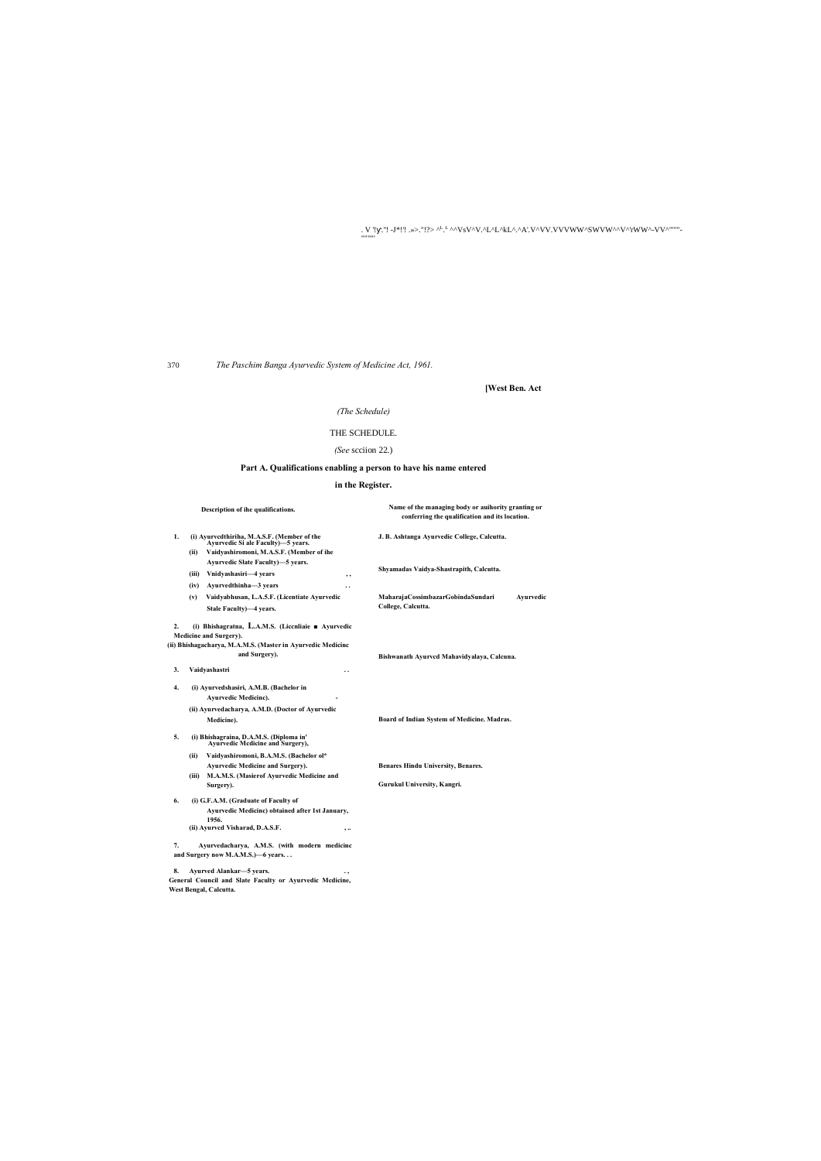. V '! .."! -J\*!'! .»>."!?> ^<sup>L.L</sup>^^VsV^V.^L^L^kL^.^A'.V^VV.VVVWW^SWVW^^V^'rWW^-VV^'''"'-

370

""""'

*The Paschim Banga Ayurvedic System of Medicine Act, 1961.*

**[West Ben. Act**

## *(The Schedule)*

## THE SCHEDULE.

## *(See* scciion 22.)

## **Part A. Qualifications enabling a person to have his name entered**

## **in the Register.**

|                                                                                                                                                                                 | Description of ihe qualifications.                                                                                                       | Name of the managing body or auihority granting or<br>conferring the qualification and its location. |
|---------------------------------------------------------------------------------------------------------------------------------------------------------------------------------|------------------------------------------------------------------------------------------------------------------------------------------|------------------------------------------------------------------------------------------------------|
| 1.                                                                                                                                                                              | (i) Ayurvedthiriha, M.A.S.F. (Member of the<br>Avurvedic Si ale Faculty)—5 vears.<br>Vaidyashiromoni, M.A.S.F. (Member of ihe<br>(ii)    | J. B. Ashtanga Ayurvedic College, Calcutta.                                                          |
|                                                                                                                                                                                 | Ayurvedic Slate Faculty)-5 years.                                                                                                        |                                                                                                      |
|                                                                                                                                                                                 | Vnidyashasiri-4 years<br>(iii)<br>, ,                                                                                                    | Shyamadas Vaidya-Shastrapith, Calcutta.                                                              |
|                                                                                                                                                                                 | Ayurvedthinha-3 years<br>(iv)                                                                                                            |                                                                                                      |
|                                                                                                                                                                                 | Vaidyabhusan, L.A.5.F. (Licentiate Ayurvedic<br>(v)                                                                                      | MaharajaCossimbazarGobindaSundari<br>Avurvedic                                                       |
|                                                                                                                                                                                 | Stale Faculty)-4 years.                                                                                                                  | College, Calcutta.                                                                                   |
| (i) Bhishagratna, L.A.M.S. (Liccnliaie $\blacksquare$ Ayurvedic<br>2.<br>Medicine and Surgery).<br>(ii) Bhishagacharya, M.A.M.S. (Master in Ayurvedic Medicinc<br>and Surgery). |                                                                                                                                          | Bishwanath Ayurved Mahavidyalaya, Calcuna.                                                           |
| 3.                                                                                                                                                                              | Vaidyashastri<br>. .                                                                                                                     |                                                                                                      |
| 4.                                                                                                                                                                              | (i) Ayurvedshasiri, A.M.B. (Bachelor in<br><b>Ayurvedic Medicinc).</b><br>(ii) Ayurvedacharya, A.M.D. (Doctor of Ayurvedic               |                                                                                                      |
|                                                                                                                                                                                 | Medicine).                                                                                                                               | Board of Indian System of Medicine. Madras.                                                          |
| 5.                                                                                                                                                                              | (i) Bhishagraina, D.A.M.S. (Diploma in'<br>Avurvedic Mcdicine and Surgery),                                                              |                                                                                                      |
|                                                                                                                                                                                 | Vaidyashiromoni, B.A.M.S. (Bachelor ol*<br>(ii)                                                                                          |                                                                                                      |
|                                                                                                                                                                                 | Ayurvedic Medicine and Surgery).                                                                                                         | <b>Benares Hindu University, Benares.</b>                                                            |
|                                                                                                                                                                                 | M.A.M.S. (Masierof Ayurvedic Medicine and<br>(iii)<br>Surgery).                                                                          | Gurukul University, Kangri.                                                                          |
| 6.                                                                                                                                                                              | (i) G.F.A.M. (Graduate of Faculty of<br>Ayurvedic Medicinc) obtained after 1st January,<br>1956.<br>(ii) Ayurved Visharad, D.A.S.F.<br>, |                                                                                                      |
| 7.                                                                                                                                                                              | Ayurvedacharya, A.M.S. (with modern medicinc<br>and Surgery now M.A.M.S.)-6 years                                                        |                                                                                                      |
| 8.                                                                                                                                                                              | Ayurved Alankar-5 vears.                                                                                                                 |                                                                                                      |

**General Council and Slate Faculty or Ayurvedic Mcdicine, West Bengal, Calcutta.**